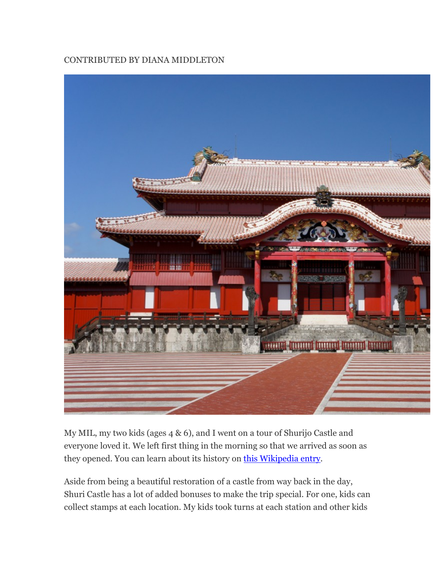### CONTRIBUTED BY DIANA MIDDLETON



My MIL, my two kids (ages 4 & 6), and I went on a tour of Shurijo Castle and everyone loved it. We left first thing in the morning so that we arrived as soon as they opened. You can learn about its history on this Wikipedia entry.

Aside from being a beautiful restoration of a castle from way back in the day, Shuri Castle has a lot of added bonuses to make the trip special. For one, kids can collect stamps at each location. My kids took turns at each station and other kids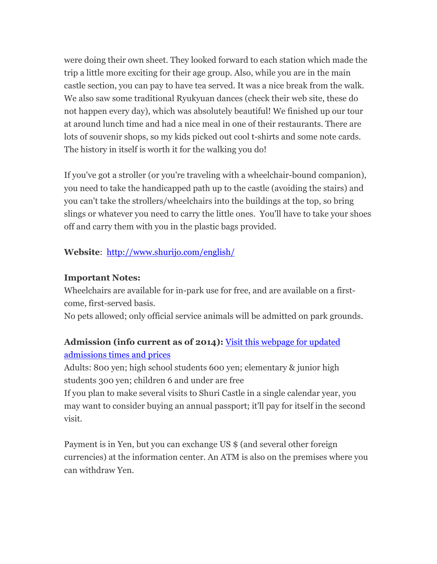were doing their own sheet. They looked forward to each station which made the trip a little more exciting for their age group. Also, while you are in the main castle section, you can pay to have tea served. It was a nice break from the walk. We also saw some traditional Ryukyuan dances (check their web site, these do not happen every day), which was absolutely beautiful! We finished up our tour at around lunch time and had a nice meal in one of their restaurants. There are lots of souvenir shops, so my kids picked out cool t-shirts and some note cards. The history in itself is worth it for the walking you do!

If you've got a stroller (or you're traveling with a wheelchair-bound companion), you need to take the handicapped path up to the castle (avoiding the stairs) and you can't take the strollers/wheelchairs into the buildings at the top, so bring slings or whatever you need to carry the little ones. You'll have to take your shoes off and carry them with you in the plastic bags provided.

## **Website**: http://www.shurijo.com/english/

#### **Important Notes:**

Wheelchairs are available for in-park use for free, and are available on a firstcome, first-served basis.

No pets allowed; only official service animals will be admitted on park grounds.

# **Admission (info current as of 2014):** Visit this webpage for updated admissions times and prices

Adults: 800 yen; high school students 600 yen; elementary & junior high students 300 yen; children 6 and under are free

If you plan to make several visits to Shuri Castle in a single calendar year, you may want to consider buying an annual passport; it'll pay for itself in the second visit.

Payment is in Yen, but you can exchange US \$ (and several other foreign currencies) at the information center. An ATM is also on the premises where you can withdraw Yen.